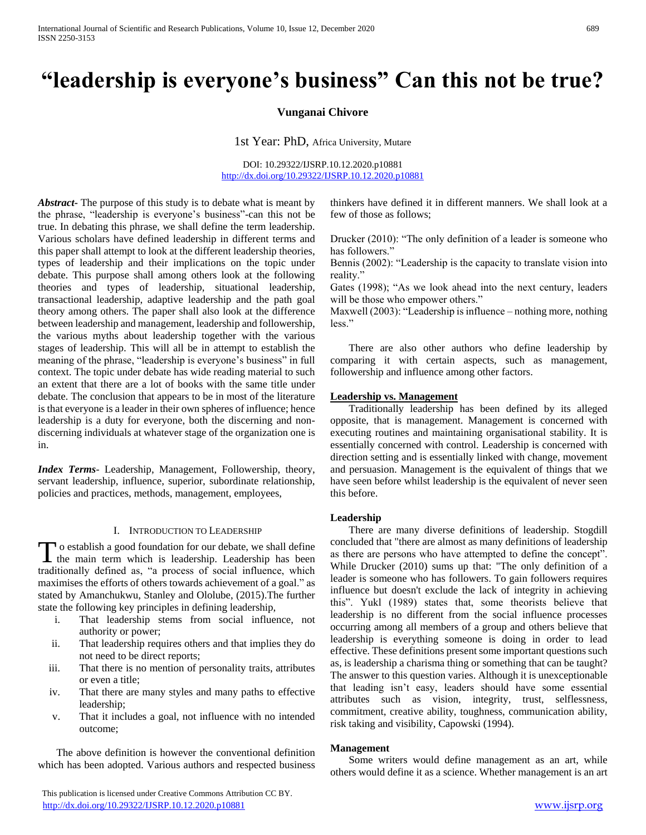# **"leadership is everyone's business" Can this not be true?**

# **Vunganai Chivore**

1st Year: PhD, Africa University, Mutare

DOI: 10.29322/IJSRP.10.12.2020.p10881 <http://dx.doi.org/10.29322/IJSRP.10.12.2020.p10881>

*Abstract***-** The purpose of this study is to debate what is meant by the phrase, "leadership is everyone's business"-can this not be true. In debating this phrase, we shall define the term leadership. Various scholars have defined leadership in different terms and this paper shall attempt to look at the different leadership theories, types of leadership and their implications on the topic under debate. This purpose shall among others look at the following theories and types of leadership, situational leadership, transactional leadership, adaptive leadership and the path goal theory among others. The paper shall also look at the difference between leadership and management, leadership and followership, the various myths about leadership together with the various stages of leadership. This will all be in attempt to establish the meaning of the phrase, "leadership is everyone's business" in full context. The topic under debate has wide reading material to such an extent that there are a lot of books with the same title under debate. The conclusion that appears to be in most of the literature is that everyone is a leader in their own spheres of influence; hence leadership is a duty for everyone, both the discerning and nondiscerning individuals at whatever stage of the organization one is in.

*Index Terms*- Leadership, Management, Followership, theory, servant leadership, influence, superior, subordinate relationship, policies and practices, methods, management, employees,

#### I. INTRODUCTION TO LEADERSHIP

o establish a good foundation for our debate, we shall define To establish a good foundation for our debate, we shall define<br>the main term which is leadership. Leadership has been traditionally defined as, "a process of social influence, which maximises the efforts of others towards achievement of a goal." as stated by Amanchukwu, Stanley and Ololube, (2015).The further state the following key principles in defining leadership,

- i. That leadership stems from social influence, not authority or power;
- ii. That leadership requires others and that implies they do not need to be direct reports;
- iii. That there is no mention of personality traits, attributes or even a title;
- iv. That there are many styles and many paths to effective leadership;
- v. That it includes a goal, not influence with no intended outcome;

 The above definition is however the conventional definition which has been adopted. Various authors and respected business

thinkers have defined it in different manners. We shall look at a few of those as follows;

Drucker (2010): "The only definition of a leader is someone who has followers."

Bennis (2002): "Leadership is the capacity to translate vision into reality."

Gates (1998); "As we look ahead into the next century, leaders will be those who empower others."

Maxwell (2003): "Leadership is influence – nothing more, nothing less."

 There are also other authors who define leadership by comparing it with certain aspects, such as management, followership and influence among other factors.

#### **Leadership vs. Management**

 Traditionally leadership has been defined by its alleged opposite, that is management. Management is concerned with executing routines and maintaining organisational stability. It is essentially concerned with control. Leadership is concerned with direction setting and is essentially linked with change, movement and persuasion. Management is the equivalent of things that we have seen before whilst leadership is the equivalent of never seen this before.

#### **Leadership**

 There are many diverse definitions of leadership. Stogdill concluded that "there are almost as many definitions of leadership as there are persons who have attempted to define the concept". While Drucker (2010) sums up that: "The only definition of a leader is someone who has followers. To gain followers requires influence but doesn't exclude the lack of integrity in achieving this". Yukl (1989) states that, some theorists believe that leadership is no different from the social influence processes occurring among all members of a group and others believe that leadership is everything someone is doing in order to lead effective. These definitions present some important questions such as, is leadership a charisma thing or something that can be taught? The answer to this question varies. Although it is unexceptionable that leading isn't easy, leaders should have some essential attributes such as vision, integrity, trust, selflessness, commitment, creative ability, toughness, communication ability, risk taking and visibility, Capowski (1994).

#### **Management**

 Some writers would define management as an art, while others would define it as a science. Whether management is an art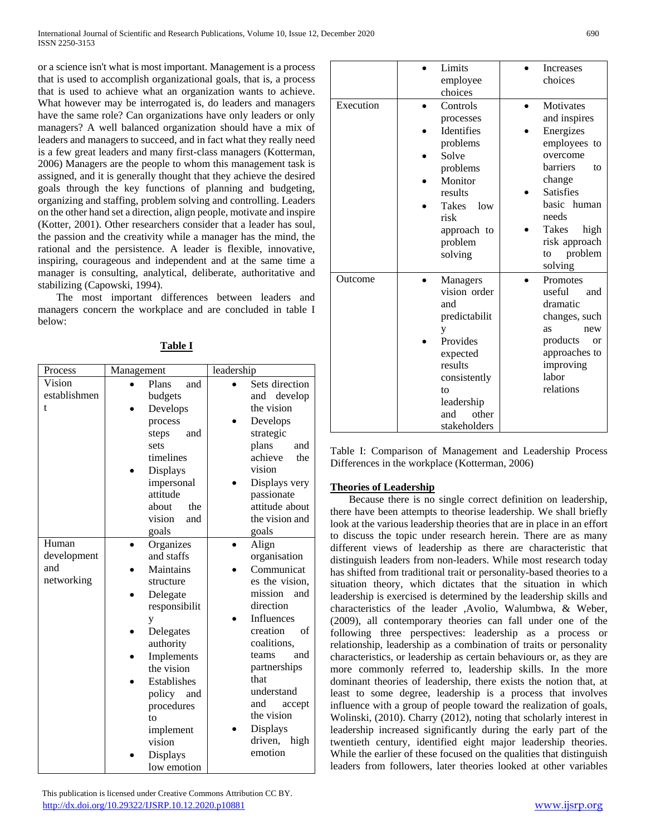or a science isn't what is most important. Management is a process that is used to accomplish organizational goals, that is, a process that is used to achieve what an organization wants to achieve. What however may be interrogated is, do leaders and managers have the same role? Can organizations have only leaders or only managers? A well balanced organization should have a mix of leaders and managers to succeed, and in fact what they really need is a few great leaders and many first-class managers (Kotterman, 2006) Managers are the people to whom this management task is assigned, and it is generally thought that they achieve the desired goals through the key functions of planning and budgeting, organizing and staffing, problem solving and controlling. Leaders on the other hand set a direction, align people, motivate and inspire (Kotter, 2001). Other researchers consider that a leader has soul, the passion and the creativity while a manager has the mind, the rational and the persistence. A leader is flexible, innovative, inspiring, courageous and independent and at the same time a manager is consulting, analytical, deliberate, authoritative and stabilizing (Capowski, 1994).

 The most important differences between leaders and managers concern the workplace and are concluded in table I below:

| Process      | Management |                     | leadership           |
|--------------|------------|---------------------|----------------------|
| Vision       |            | Plans<br>and        | Sets direction       |
| establishmen |            | budgets             | and develop          |
| t            |            | Develops            | the vision           |
|              |            | process             | Develops             |
|              |            | steps<br>and        | strategic            |
|              |            | sets                | plans<br>and         |
|              |            | timelines           | achieve<br>the       |
|              |            | <b>Displays</b>     | vision               |
|              |            | impersonal          | Displays very        |
|              |            | attitude            | passionate           |
|              |            | about<br>the        | attitude about       |
|              |            | vision<br>and       | the vision and       |
|              |            | goals               | goals                |
| Human        |            | Organizes           | Align                |
| development  |            | and staffs          | organisation         |
| and          |            | Maintains           | Communicat           |
| networking   |            | structure           | es the vision,       |
|              |            | Delegate            | mission<br>and       |
|              |            | responsibilit       | direction            |
|              |            | y                   | <b>Influences</b>    |
|              |            | Delegates           | creation<br>of       |
|              |            | authority           | coalitions,          |
|              |            | Implements          | teams<br>and         |
|              |            | the vision          | partnerships<br>that |
|              |            | Establishes         | understand           |
|              |            | policy<br>and       | and                  |
|              |            | procedures          | accept<br>the vision |
|              |            | to                  | Displays             |
|              |            | implement<br>vision | driven,<br>high      |
|              |            |                     | emotion              |
|              |            | Displays            |                      |
|              |            | low emotion         |                      |

**Table I**

| This publication is licensed under Creative Commons Attribution CC BY. |  |
|------------------------------------------------------------------------|--|
| http://dx.doi.org/10.29322/IJSRP.10.12.2020.p10881                     |  |

| Execution | Limits<br>employee<br>choices<br>Controls<br>processes<br>Identifies<br>problems<br>Solve<br>problems<br>Monitor<br>results<br><b>Takes</b><br>low<br>risk<br>approach to<br>problem<br>solving | Increases<br>choices<br><b>Motivates</b><br>and inspires<br>Energizes<br>employees to<br>overcome<br><b>barriers</b><br>to<br>change<br><b>Satisfies</b><br>basic human<br>needs<br>Takes<br>high<br>risk approach<br>problem<br>to |
|-----------|-------------------------------------------------------------------------------------------------------------------------------------------------------------------------------------------------|-------------------------------------------------------------------------------------------------------------------------------------------------------------------------------------------------------------------------------------|
| Outcome   | Managers<br>vision order<br>and<br>predictabilit<br>у<br>Provides<br>expected<br>results<br>consistently<br>to<br>leadership<br>and<br>other<br>stakeholders                                    | solving<br>Promotes<br>useful<br>and<br>dramatic<br>changes, such<br>new<br>as<br>products<br><sub>or</sub><br>approaches to<br>improving<br>labor<br>relations                                                                     |

Table I: Comparison of Management and Leadership Process Differences in the workplace (Kotterman, 2006)

# **Theories of Leadership**

 Because there is no single correct definition on leadership, there have been attempts to theorise leadership. We shall briefly look at the various leadership theories that are in place in an effort to discuss the topic under research herein. There are as many different views of leadership as there are characteristic that distinguish leaders from non-leaders. While most research today has shifted from traditional trait or personality-based theories to a situation theory, which dictates that the situation in which leadership is exercised is determined by the leadership skills and characteristics of the leader ,Avolio, Walumbwa, & Weber, (2009), all contemporary theories can fall under one of the following three perspectives: leadership as a process or relationship, leadership as a combination of traits or personality characteristics, or leadership as certain behaviours or, as they are more commonly referred to, leadership skills. In the more dominant theories of leadership, there exists the notion that, at least to some degree, leadership is a process that involves influence with a group of people toward the realization of goals, Wolinski, (2010). Charry (2012), noting that scholarly interest in leadership increased significantly during the early part of the twentieth century, identified eight major leadership theories. While the earlier of these focused on the qualities that distinguish leaders from followers, later theories looked at other variables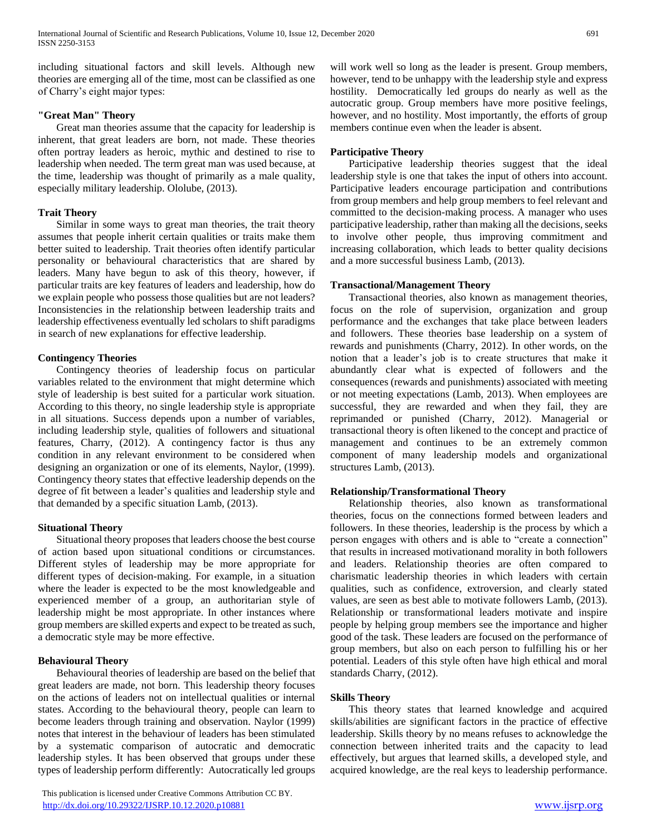including situational factors and skill levels. Although new theories are emerging all of the time, most can be classified as one of Charry's eight major types:

## **"Great Man" Theory**

 Great man theories assume that the capacity for leadership is inherent, that great leaders are born, not made. These theories often portray leaders as heroic, mythic and destined to rise to leadership when needed. The term great man was used because, at the time, leadership was thought of primarily as a male quality, especially military leadership. Ololube, (2013).

## **Trait Theory**

 Similar in some ways to great man theories, the trait theory assumes that people inherit certain qualities or traits make them better suited to leadership. Trait theories often identify particular personality or behavioural characteristics that are shared by leaders. Many have begun to ask of this theory, however, if particular traits are key features of leaders and leadership, how do we explain people who possess those qualities but are not leaders? Inconsistencies in the relationship between leadership traits and leadership effectiveness eventually led scholars to shift paradigms in search of new explanations for effective leadership.

## **Contingency Theories**

 Contingency theories of leadership focus on particular variables related to the environment that might determine which style of leadership is best suited for a particular work situation. According to this theory, no single leadership style is appropriate in all situations. Success depends upon a number of variables, including leadership style, qualities of followers and situational features, Charry, (2012). A contingency factor is thus any condition in any relevant environment to be considered when designing an organization or one of its elements, Naylor, (1999). Contingency theory states that effective leadership depends on the degree of fit between a leader's qualities and leadership style and that demanded by a specific situation Lamb, (2013).

# **Situational Theory**

 Situational theory proposes that leaders choose the best course of action based upon situational conditions or circumstances. Different styles of leadership may be more appropriate for different types of decision-making. For example, in a situation where the leader is expected to be the most knowledgeable and experienced member of a group, an authoritarian style of leadership might be most appropriate. In other instances where group members are skilled experts and expect to be treated as such, a democratic style may be more effective.

# **Behavioural Theory**

 Behavioural theories of leadership are based on the belief that great leaders are made, not born. This leadership theory focuses on the actions of leaders not on intellectual qualities or internal states. According to the behavioural theory, people can learn to become leaders through training and observation. Naylor (1999) notes that interest in the behaviour of leaders has been stimulated by a systematic comparison of autocratic and democratic leadership styles. It has been observed that groups under these types of leadership perform differently: Autocratically led groups

 This publication is licensed under Creative Commons Attribution CC BY. <http://dx.doi.org/10.29322/IJSRP.10.12.2020.p10881> [www.ijsrp.org](http://ijsrp.org/)

will work well so long as the leader is present. Group members, however, tend to be unhappy with the leadership style and express hostility. Democratically led groups do nearly as well as the autocratic group. Group members have more positive feelings, however, and no hostility. Most importantly, the efforts of group members continue even when the leader is absent.

## **Participative Theory**

 Participative leadership theories suggest that the ideal leadership style is one that takes the input of others into account. Participative leaders encourage participation and contributions from group members and help group members to feel relevant and committed to the decision-making process. A manager who uses participative leadership, rather than making all the decisions, seeks to involve other people, thus improving commitment and increasing collaboration, which leads to better quality decisions and a more successful business Lamb, (2013).

## **Transactional/Management Theory**

 Transactional theories, also known as management theories, focus on the role of supervision, organization and group performance and the exchanges that take place between leaders and followers. These theories base leadership on a system of rewards and punishments (Charry, 2012). In other words, on the notion that a leader's job is to create structures that make it abundantly clear what is expected of followers and the consequences (rewards and punishments) associated with meeting or not meeting expectations (Lamb, 2013). When employees are successful, they are rewarded and when they fail, they are reprimanded or punished (Charry, 2012). Managerial or transactional theory is often likened to the concept and practice of management and continues to be an extremely common component of many leadership models and organizational structures Lamb, (2013).

#### **Relationship/Transformational Theory**

 Relationship theories, also known as transformational theories, focus on the connections formed between leaders and followers. In these theories, leadership is the process by which a person engages with others and is able to "create a connection" that results in increased motivationand morality in both followers and leaders. Relationship theories are often compared to charismatic leadership theories in which leaders with certain qualities, such as confidence, extroversion, and clearly stated values, are seen as best able to motivate followers Lamb, (2013). Relationship or transformational leaders motivate and inspire people by helping group members see the importance and higher good of the task. These leaders are focused on the performance of group members, but also on each person to fulfilling his or her potential. Leaders of this style often have high ethical and moral standards Charry, (2012).

#### **Skills Theory**

 This theory states that learned knowledge and acquired skills/abilities are significant factors in the practice of effective leadership. Skills theory by no means refuses to acknowledge the connection between inherited traits and the capacity to lead effectively, but argues that learned skills, a developed style, and acquired knowledge, are the real keys to leadership performance.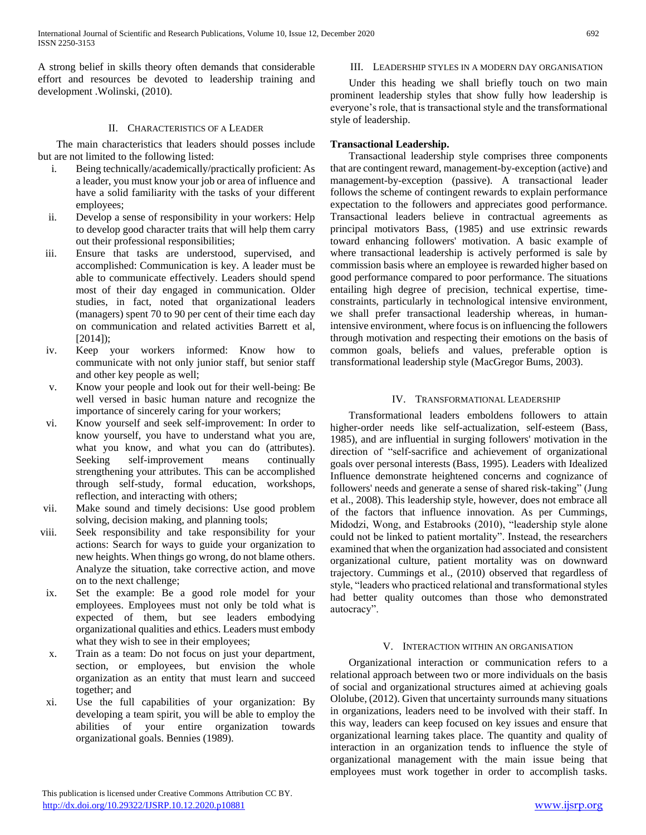A strong belief in skills theory often demands that considerable effort and resources be devoted to leadership training and development .Wolinski, (2010).

#### II. CHARACTERISTICS OF A LEADER

 The main characteristics that leaders should posses include but are not limited to the following listed:

- i. Being technically/academically/practically proficient: As a leader, you must know your job or area of influence and have a solid familiarity with the tasks of your different employees;
- ii. Develop a sense of responsibility in your workers: Help to develop good character traits that will help them carry out their professional responsibilities;
- iii. Ensure that tasks are understood, supervised, and accomplished: Communication is key. A leader must be able to communicate effectively. Leaders should spend most of their day engaged in communication. Older studies, in fact, noted that organizational leaders (managers) spent 70 to 90 per cent of their time each day on communication and related activities Barrett et al, [2014]);
- iv. Keep your workers informed: Know how to communicate with not only junior staff, but senior staff and other key people as well;
- v. Know your people and look out for their well-being: Be well versed in basic human nature and recognize the importance of sincerely caring for your workers;
- vi. Know yourself and seek self-improvement: In order to know yourself, you have to understand what you are, what you know, and what you can do (attributes). Seeking self-improvement means continually strengthening your attributes. This can be accomplished through self-study, formal education, workshops, reflection, and interacting with others;
- vii. Make sound and timely decisions: Use good problem solving, decision making, and planning tools;
- viii. Seek responsibility and take responsibility for your actions: Search for ways to guide your organization to new heights. When things go wrong, do not blame others. Analyze the situation, take corrective action, and move on to the next challenge;
- ix. Set the example: Be a good role model for your employees. Employees must not only be told what is expected of them, but see leaders embodying organizational qualities and ethics. Leaders must embody what they wish to see in their employees;
- x. Train as a team: Do not focus on just your department, section, or employees, but envision the whole organization as an entity that must learn and succeed together; and
- xi. Use the full capabilities of your organization: By developing a team spirit, you will be able to employ the abilities of your entire organization towards organizational goals. Bennies (1989).

# III. LEADERSHIP STYLES IN A MODERN DAY ORGANISATION

 Under this heading we shall briefly touch on two main prominent leadership styles that show fully how leadership is everyone's role, that is transactional style and the transformational style of leadership.

# **Transactional Leadership.**

 Transactional leadership style comprises three components that are contingent reward, management-by-exception (active) and management-by-exception (passive). A transactional leader follows the scheme of contingent rewards to explain performance expectation to the followers and appreciates good performance. Transactional leaders believe in contractual agreements as principal motivators Bass, (1985) and use extrinsic rewards toward enhancing followers' motivation. A basic example of where transactional leadership is actively performed is sale by commission basis where an employee is rewarded higher based on good performance compared to poor performance. The situations entailing high degree of precision, technical expertise, timeconstraints, particularly in technological intensive environment, we shall prefer transactional leadership whereas, in humanintensive environment, where focus is on influencing the followers through motivation and respecting their emotions on the basis of common goals, beliefs and values, preferable option is transformational leadership style (MacGregor Bums, 2003).

# IV. TRANSFORMATIONAL LEADERSHIP

 Transformational leaders emboldens followers to attain higher-order needs like self-actualization, self-esteem (Bass, 1985), and are influential in surging followers' motivation in the direction of "self-sacrifice and achievement of organizational goals over personal interests (Bass, 1995). Leaders with Idealized Influence demonstrate heightened concerns and cognizance of followers' needs and generate a sense of shared risk-taking" (Jung et al., 2008). This leadership style, however, does not embrace all of the factors that influence innovation. As per Cummings, Midodzi, Wong, and Estabrooks (2010), "leadership style alone could not be linked to patient mortality". Instead, the researchers examined that when the organization had associated and consistent organizational culture, patient mortality was on downward trajectory. Cummings et al., (2010) observed that regardless of style, "leaders who practiced relational and transformational styles had better quality outcomes than those who demonstrated autocracy".

#### V. INTERACTION WITHIN AN ORGANISATION

 Organizational interaction or communication refers to a relational approach between two or more individuals on the basis of social and organizational structures aimed at achieving goals Ololube, (2012). Given that uncertainty surrounds many situations in organizations, leaders need to be involved with their staff. In this way, leaders can keep focused on key issues and ensure that organizational learning takes place. The quantity and quality of interaction in an organization tends to influence the style of organizational management with the main issue being that employees must work together in order to accomplish tasks.